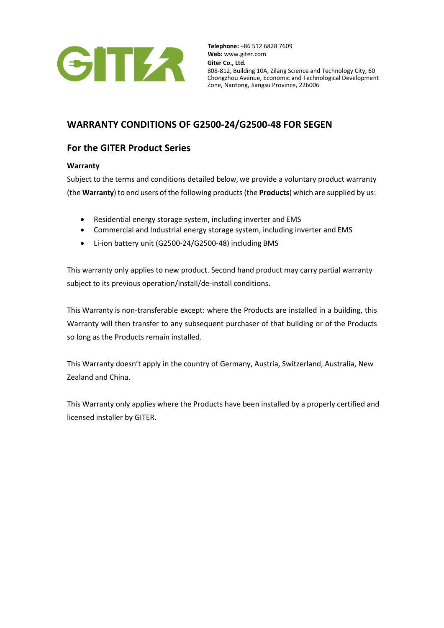

# **WARRANTY CONDITIONS OF G2500-24/G2500-48 FOR SEGEN**

# **For the GITER Product Series**

# **Warranty**

Subject to the terms and conditions detailed below, we provide a voluntary product warranty (the **Warranty**) to end users of the following products (the **Products**) which are supplied by us:

- Residential energy storage system, including inverter and EMS
- Commercial and Industrial energy storage system, including inverter and EMS
- Li-ion battery unit (G2500-24/G2500-48) including BMS

This warranty only applies to new product. Second hand product may carry partial warranty subject to its previous operation/install/de-install conditions.

This Warranty is non-transferable except: where the Products are installed in a building, this Warranty will then transfer to any subsequent purchaser of that building or of the Products so long as the Products remain installed.

This Warranty doesn't apply in the country of Germany, Austria, Switzerland, Australia, New Zealand and China.

This Warranty only applies where the Products have been installed by a properly certified and licensed installer by GITER.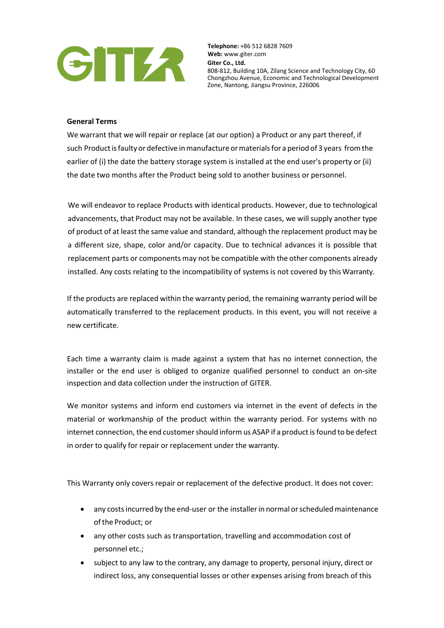

### **General Terms**

We warrant that we will repair or replace (at our option) a Product or any part thereof, if such Product isfaulty or defective inmanufacture ormaterials for a period of 3 years from the earlier of (i) the date the battery storage system is installed at the end user's property or (ii) the date two months after the Product being sold to another business or personnel.

We will endeavor to replace Products with identical products. However, due to technological advancements, that Product may not be available. In these cases, we will supply another type of product of at least the same value and standard, although the replacement product may be a different size, shape, color and/or capacity. Due to technical advances it is possible that replacement parts or components may not be compatible with the other components already installed. Any costs relating to the incompatibility of systems is not covered by thisWarranty.

If the products are replaced within the warranty period, the remaining warranty period will be automatically transferred to the replacement products. In this event, you will not receive a new certificate.

Each time a warranty claim is made against a system that has no internet connection, the installer or the end user is obliged to organize qualified personnel to conduct an on-site inspection and data collection under the instruction of GITER.

We monitor systems and inform end customers via internet in the event of defects in the material or workmanship of the product within the warranty period. For systems with no internet connection, the end customer should inform us ASAP if a product is found to be defect in order to qualify for repair or replacement under the warranty.

This Warranty only covers repair or replacement of the defective product. It does not cover:

- any costs incurred by the end-user or the installer in normal or scheduled maintenance ofthe Product; or
- any other costs such as transportation, travelling and accommodation cost of personnel etc.;
- subject to any law to the contrary, any damage to property, personal injury, direct or indirect loss, any consequential losses or other expenses arising from breach of this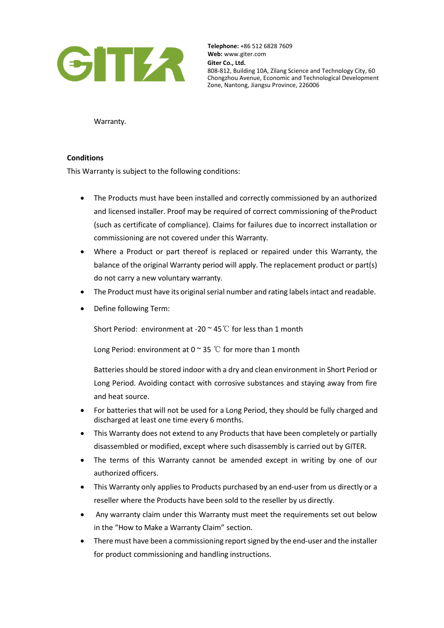

Warranty.

### **Conditions**

This Warranty is subject to the following conditions:

- The Products must have been installed and correctly commissioned by an authorized and licensed installer. Proof may be required of correct commissioning of theProduct (such as certificate of compliance). Claims for failures due to incorrect installation or commissioning are not covered under this Warranty.
- Where a Product or part thereof is replaced or repaired under this Warranty, the balance of the original Warranty period will apply. The replacement product or part(s) do not carry a new voluntary warranty.
- The Product must have its original serial number and rating labels intact and readable.
- Define following Term:

Short Period: environment at -20 ~ 45℃ for less than 1 month

Long Period: environment at 0  $\sim$  35 °C for more than 1 month

Batteries should be stored indoor with a dry and clean environment in Short Period or Long Period. Avoiding contact with corrosive substances and staying away from fire and heat source.

- For batteries that will not be used for a Long Period, they should be fully charged and discharged at least one time every 6 months.
- This Warranty does not extend to any Products that have been completely or partially disassembled or modified, except where such disassembly is carried out by GITER.
- The terms of this Warranty cannot be amended except in writing by one of our authorized officers.
- This Warranty only applies to Products purchased by an end-user from us directly or a reseller where the Products have been sold to the reseller by us directly.
- Any warranty claim under this Warranty must meet the requirements set out below in the "How to Make a Warranty Claim" section.
- There must have been a commissioning report signed by the end-user and the installer for product commissioning and handling instructions.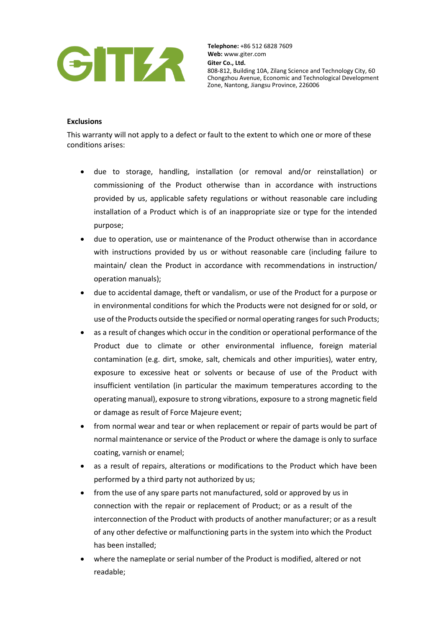

#### **Exclusions**

This warranty will not apply to a defect or fault to the extent to which one or more of these conditions arises:

- due to storage, handling, installation (or removal and/or reinstallation) or commissioning of the Product otherwise than in accordance with instructions provided by us, applicable safety regulations or without reasonable care including installation of a Product which is of an inappropriate size or type for the intended purpose;
- due to operation, use or maintenance of the Product otherwise than in accordance with instructions provided by us or without reasonable care (including failure to maintain/ clean the Product in accordance with recommendations in instruction/ operation manuals);
- due to accidental damage, theft or vandalism, or use of the Product for a purpose or in environmental conditions for which the Products were not designed for or sold, or use of the Products outside the specified or normal operating ranges for such Products;
- as a result of changes which occur in the condition or operational performance of the Product due to climate or other environmental influence, foreign material contamination (e.g. dirt, smoke, salt, chemicals and other impurities), water entry, exposure to excessive heat or solvents or because of use of the Product with insufficient ventilation (in particular the maximum temperatures according to the operating manual), exposure to strong vibrations, exposure to a strong magnetic field or damage as result of Force Majeure event;
- from normal wear and tear or when replacement or repair of parts would be part of normal maintenance or service of the Product or where the damage is only to surface coating, varnish or enamel;
- as a result of repairs, alterations or modifications to the Product which have been performed by a third party not authorized by us;
- from the use of any spare parts not manufactured, sold or approved by us in connection with the repair or replacement of Product; or as a result of the interconnection of the Product with products of another manufacturer; or as a result of any other defective or malfunctioning parts in the system into which the Product has been installed;
- where the nameplate or serial number of the Product is modified, altered or not readable;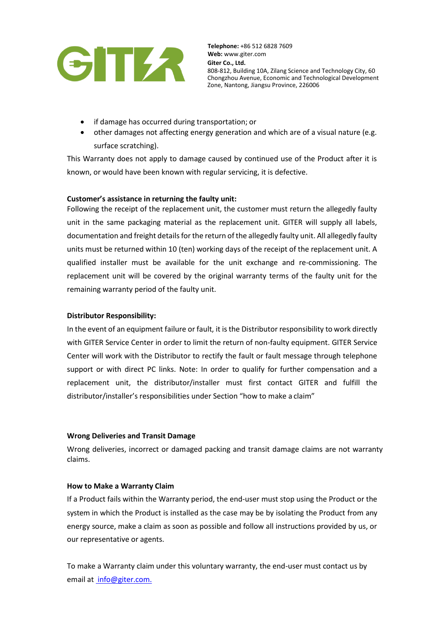

- if damage has occurred during transportation; or
- other damages not affecting energy generation and which are of a visual nature (e.g. surface scratching).

This Warranty does not apply to damage caused by continued use of the Product after it is known, or would have been known with regular servicing, it is defective.

## **Customer's assistance in returning the faulty unit:**

Following the receipt of the replacement unit, the customer must return the allegedly faulty unit in the same packaging material as the replacement unit. GITER will supply all labels, documentation and freight details for the return of the allegedly faulty unit. All allegedly faulty units must be returned within 10 (ten) working days of the receipt of the replacement unit. A qualified installer must be available for the unit exchange and re-commissioning. The replacement unit will be covered by the original warranty terms of the faulty unit for the remaining warranty period of the faulty unit.

### **Distributor Responsibility:**

In the event of an equipment failure or fault, it isthe Distributor responsibility to work directly with GITER Service Center in order to limit the return of non-faulty equipment. GITER Service Center will work with the Distributor to rectify the fault or fault message through telephone support or with direct PC links. Note: In order to qualify for further compensation and a replacement unit, the distributor/installer must first contact GITER and fulfill the distributor/installer's responsibilities under Section "how to make a claim"

### **Wrong Deliveries and Transit Damage**

Wrong deliveries, incorrect or damaged packing and transit damage claims are not warranty claims.

### **How to Make a Warranty Claim**

If a Product fails within the Warranty period, the end-user must stop using the Product or the system in which the Product is installed as the case may be by isolating the Product from any energy source, make a claim as soon as possible and follow all instructions provided by us, or our representative or agents.

To make a Warranty claim under this voluntary warranty, the end-user must contact us by email at [info@giter.com.](mailto:%20info@giter.com.)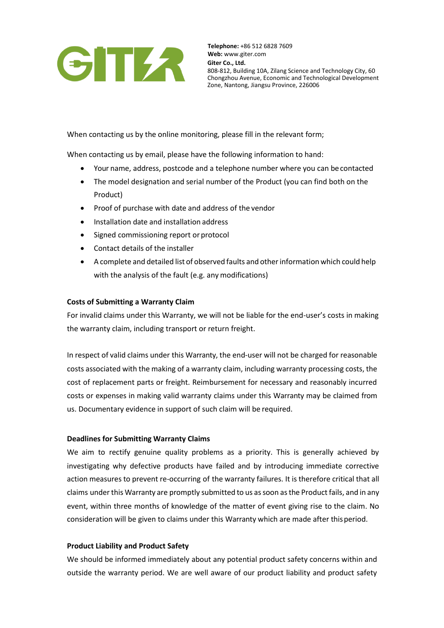

When contacting us by the online monitoring, please fill in the relevant form;

When contacting us by email, please have the following information to hand:

- Your name, address, postcode and a telephone number where you can becontacted
- The model designation and serial number of the Product (you can find both on the Product)
- Proof of purchase with date and address of the vendor
- Installation date and installation address
- Signed commissioning report or protocol
- Contact details of the installer
- A complete and detailed list of observed faults and otherinformation which could help with the analysis of the fault (e.g. any modifications)

#### **Costs of Submitting a Warranty Claim**

For invalid claims under this Warranty, we will not be liable for the end-user's costs in making the warranty claim, including transport or return freight.

In respect of valid claims under this Warranty, the end-user will not be charged for reasonable costs associated with the making of a warranty claim, including warranty processing costs, the cost of replacement parts or freight. Reimbursement for necessary and reasonably incurred costs or expenses in making valid warranty claims under this Warranty may be claimed from us. Documentary evidence in support of such claim will be required.

#### **Deadlines for Submitting Warranty Claims**

We aim to rectify genuine quality problems as a priority. This is generally achieved by investigating why defective products have failed and by introducing immediate corrective action measures to prevent re-occurring of the warranty failures. It is therefore critical that all claims under this Warranty are promptly submitted to us assoon asthe Product fails, and in any event, within three months of knowledge of the matter of event giving rise to the claim. No consideration will be given to claims under this Warranty which are made after thisperiod.

#### **Product Liability and Product Safety**

We should be informed immediately about any potential product safety concerns within and outside the warranty period. We are well aware of our product liability and product safety